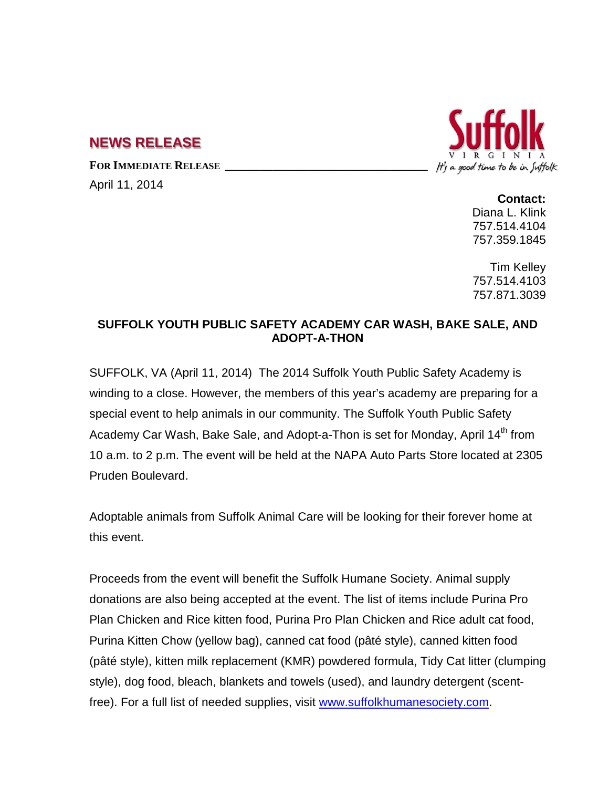## **NEWS RELEASE**

FOR **IMMEDIATE RELEASE** 

April 11, 2014



**Contact:** Diana L. Klink 757.514.4104 757.359.1845

Tim Kelley 757.514.4103 757.871.3039

## **SUFFOLK YOUTH PUBLIC SAFETY ACADEMY CAR WASH, BAKE SALE, AND ADOPT-A-THON**

SUFFOLK, VA (April 11, 2014) The 2014 Suffolk Youth Public Safety Academy is winding to a close. However, the members of this year's academy are preparing for a special event to help animals in our community. The Suffolk Youth Public Safety Academy Car Wash, Bake Sale, and Adopt-a-Thon is set for Monday, April 14<sup>th</sup> from 10 a.m. to 2 p.m. The event will be held at the NAPA Auto Parts Store located at 2305 Pruden Boulevard.

Adoptable animals from Suffolk Animal Care will be looking for their forever home at this event.

Proceeds from the event will benefit the Suffolk Humane Society. Animal supply donations are also being accepted at the event. The list of items include Purina Pro Plan Chicken and Rice kitten food, Purina Pro Plan Chicken and Rice adult cat food, Purina Kitten Chow (yellow bag), canned cat food (pâté style), canned kitten food (pâté style), kitten milk replacement (KMR) powdered formula, Tidy Cat litter (clumping style), dog food, bleach, blankets and towels (used), and laundry detergent (scentfree). For a full list of needed supplies, visit [www.suffolkhumanesociety.com.](http://www.suffolkhumanesociety.com/)